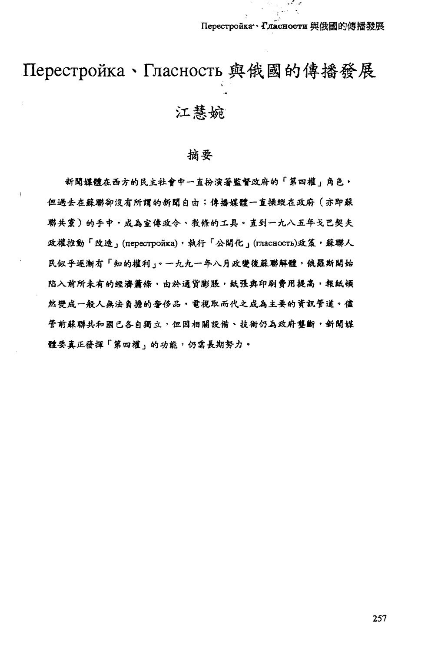میں معمولا

# Перестройка、Гласность 與俄國的傳播發展 江慧婉

## 摘要

新聞媒體在西方的民主社會中一直扮演著監督政府的「第四權」角色, 但過去在蘇聯卻沒有所謂的新聞自由;偉播媒體一直操縱在政府(亦即蘇 聯共黨)的手中,成為宣偉政令、教條的工具。直到一九八五年戈巴契夫 政權推動「改造」(перестройка),執行「公開化」(гласность)政策,蘇聯人 民似乎逐渐有「知的權利」。一九九一年八月政變後蘇聯解體,俄羅斯開始 陷入前所未有的經濟蕭條,由於通貨膨脹,紙張與印刷費用提高,報紙頓 然變成一般人無法負擔的奢侈品,電視取而代之成為主要的資訊管道。儘 管前蘇聯共和國已各自獨立,但因相關設備、技術仍為政府壟斷,新聞媒 體要真正發揮「第四權」的功能,仍需長期努力。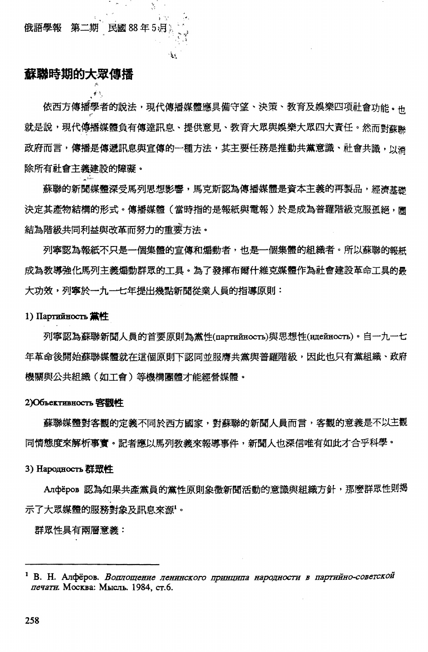$f_{\rm{th}}$ 

# **蘇聯時期的大眾傳播**

依西方傳播學者的說法,現代傳播媒體應具備守望、決策、教育及娛樂四項社會功能。 就是說,現代傳播媒體負有傳達訊息、提供意見、教育大眾與娛樂大眾四大責任。然而對蘇聯 政府而言,傳播是傳遞訊息與宣傳的一種方法,其主要任務是推動共黨意識、社會共識,以消 除所有社會主義建設的障礙。

 $*$ .,  $*$ ~. ' f  $\mathbf{r}$ 

٩.<br>ت

蘇聯的新聞媒體深受馬列思想影響,馬克斯認為傳播媒體是資本主義的再製品,經濟基礎 決定其產物結構的形式。傳播媒體(當時指的是報紙與電報)於是成為普羅階級克服孤絕,圖 結為階級共同利益與改革而努力的重要方法。

列寧認為報紙不只是一個集體的宣傳和煽動者,也是一個集體的組織者。所以蘇聯的報紙 成為教導強化馬列主義煽動群眾的工具。為了發揮布爾什維克媒體作為社會建設革命工具的最 大功效,列寧於一九一七年提出幾點新聞從業人員的指導原則:

#### 1) Партийность **黛性**

列寧認為蘇聯新聞人員的首要原則為黨性(партийность)與思想性(идейность)。自一九一七 年革命後開始蘇聯媒體就在這個原則下認同並服膺共黨與普羅階級,因此也只有黨組織、政府 機關與公共組織(如工會)等機構團體才能經營媒體。

#### 2)06I,eKTHBBOCTh **3B4'1**

蘇聯媒體對客觀的定義不同於西方國家,對蘇聯的新聞人員而言,客觀的意義是不以主觀 同情態度來解析事實。記者應以馬列教義來報導事件,新聞人也深信唯有如此才合乎科學。

#### 3) Hapo JHOCTL 群眾性

Aлфёров 認為如果共產黨員的黨性原則象徵新聞活動的意識與組織方針,那麼群眾性則揭 '. 示了大眾媒體的服務對象及訊息來源'。

群眾性具有兩層意義:

<sup>&</sup>lt;sup>1</sup> В. Н. Алфёров. Воплощение ленинского принципа народности в партийно-советской печати. Москва: Мысль. 1984, ст.6.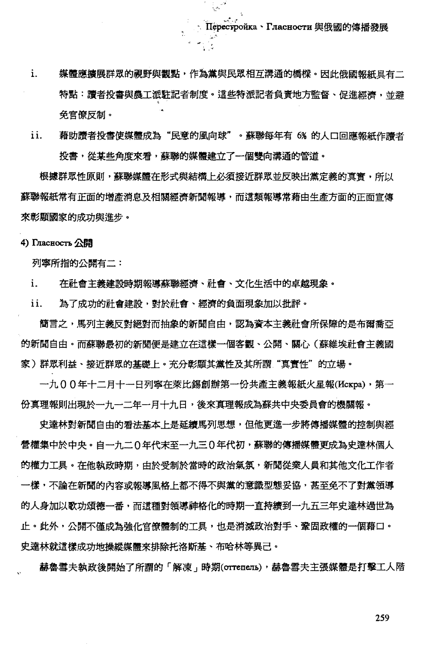媒體應擴展群眾的視野與觀點,作為黨與民眾相互溝通的橋樑。因此俄國報紙具有二  $\mathbf{i}$ . 特點:讀者投書與農工派駐記者制度。這些特派記者負責地方監督、促進經濟,並避 免官僚反制。

 $\mathcal{L} = \mathcal{L}$ 

نوں<br>اچھیا

ii. 藉助讀者投書使媒體成為"民意的風向球"。蘇聯每年有 6% 的人口回應報紙作讀者 投書,從某些角度來看,蘇聯的媒體建立了一個雙向溝通的管道。

根據群眾性原則,蘇聯媒體在形式與結構上必須接近群眾並反映出黨定義的真實,所以 蘇聯報紙常有正面的增產消息及相關經濟新聞報導,而這類報導常藉由生產方面的正面宣傳 來彰顯國家的成功與進步。

4) Гласность 公開

列寧所指的公開有二:

i. 在社會主義建設時期報導蘇聯經濟、社會、文化生活中的卓越現象。

ii. 為了成功的社會建設,對於社會、經濟的負面現象加以批評。

簡言之,馬列主義反對絕對而抽象的新聞自由,認為資本主義社會所保障的是布爾喬亞 的新聞自由。而蘇聯最初的新聞便是建立在這樣一個客觀、公開、關心(蘇維埃社會主義國 家)群眾利益、接近群眾的基礎上。充分彰顯其黨性及其所謂"真實性"的立場。

一九00年十二月十一日列寧在萊比錫創辦第一份共產主義報紙火星報(Kckpa),第一 份真理報則出現於一九一二年一月十九日,後來真理報成為蘇共中央委員會的機關報。

史達林對新聞自由的看法基本上是延續馬列思想,但他更進一步將傳播媒體的控制與經 營權集中於中央。自一九二 0 年代末至一九三 0 年代初,蘇聯的傳播媒體更成為史達林個人 的權力工具。在他執政時期,由於受制於當時的政治氣氛,新聞從業人員和其他文化工作者 一樣,不論在新聞的內容或報導風格上都不得不與黨的意識型態妥協,甚至免不了對黨領導 的人身加以歌功頌德一番,而這種對領導神格化的時期一直持續到一九五三年史達林過世為 止。此外,公開不僅成為強化官僚體制的工具,也是消滅政治對手、鞏固政權的一個藉口。 史達林就這樣成功地操縱媒體來排除托洛斯基、布哈林等異己。

赫魯雪夫執政後開始了所謂的「解凍」時期(orrenens),赫魯雪夫主張媒體是打擊工人階

259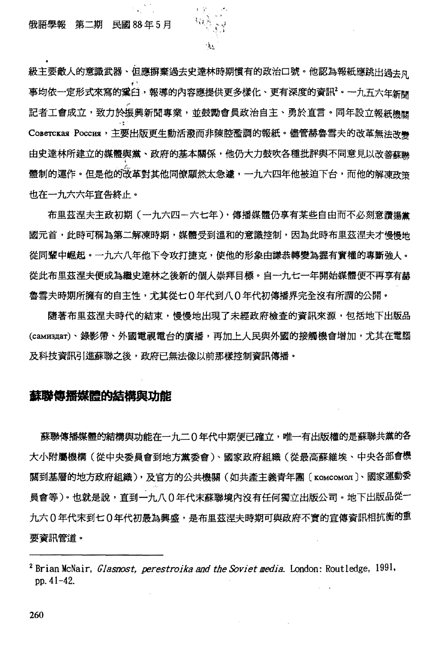級主要敵人的意識武器、但應摒棄過去史達林時期慣有的政治口號。他認為報紙應跳出過去R 事均依一定形式來寫的窠臼,報導的內容應提供更多樣化、更有深度的資訊<sup>2</sup>。一九五六年新關 記者工會成立,致力於振興新聞專業,並鼓勵會員政治自主、勇於直言。同年設立報紙機關 Coberckas Poccus, 主要出版更生動活潑而非陳腔濫調的報紙。儘管赫魯雪夫的改革無法改變 由史達林所建立的媒體與黨、政府的基本關係,他仍大力鼓吹各種批評與不同意見以改善蘇聯 體制的運作。但是他的改革對其他同僚顯然太急遽,一九六四年他被迫下台,而他的解凍政策 也在一九六六年宣告終止。

布里茲涅夫主政初期(一九六四-六七年),傳播媒體仍享有某些自由而不必刻意讚揚 國元首,此時可稱為第二解凍時期,媒體受到溫和的意識控制,因為此時布里茲涅夫才慢慢地 從同輩中崛起。一九六八年他下令攻打捷克,使他的形象由謙恭轉變為握有實權的專斷強人。 從此布里茲涅夫便成為繼史達林之後新的個人崇拜目標。自一九七一年開始媒體便不再享有赫 魯雪夫時期所擁有的自主性,尤其從七0年代到八0年代初傳播界完全沒有所謂的公開。

隨著布里茲涅夫時代的結束,慢慢地出現了未經政府檢查的資訊來源,包括地下出版品 (caмиздar)、錄影帶、外國電視電台的廣播,再加上人民與外國的接觸機會增加,尤其在電腦 及科技資訊引進蘇聯之後,政府已無法像以前那樣控制資訊傳播。

### **蘇聯傳播媒體的結構與功能**

蘇聯傳播媒體的結構與功能在一九二0年代中期便已確立,唯一有出版權的是蘇聯共黨的各 大小附屬機構(從中央委員會到地方黨委會)、國家政府組織(從最高蘇維埃、中央各部會機 關到基層的地方政府組織),及官方的公共機關(如共產主義青年團〔комсомол〕、國家運動委 員會等)。也就是說,直到一九八0年代末蘇聯境內沒有任何獨立出版公司。地下出版品從一 九六0年代末到七0年代初最為興盛,是布里茲涅夫時期可與政府不實的宣傳資訊相抗衡的重 要資訊管道。

<sup>2</sup> Brian McNair. *Glasnost. perestroika and the Soviet media.* London: Routledge, 1991. pp.41-42.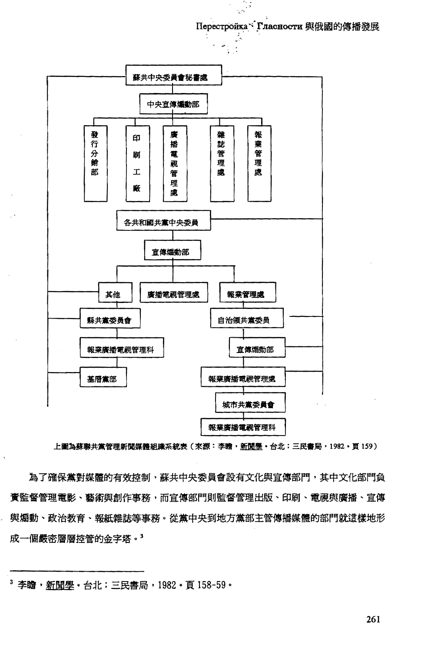Перестройка \* Гласности 與俄國的傳播發展

 $\frac{r}{3}$ 



上圖為蘇聯共黨管理新聞媒體組織系統表(來源:李瞻・新聞學・台北;三民審局,1982・頁 159)

為了確保黨對媒體的有效控制,蘇共中央委員會設有文化與宣傳部門,其中文化部門負 黃監督管理電影、藝術與創作事務,而宣傳部門則監督管理出版、印刷、電視與廣播、宣傳 與煽動、政治教育、報紙雜誌等事務。從黨中央到地方黨部主管傳播媒體的部門就這樣地形 成一個嚴密層層控管的金字塔。3

<sup>3</sup> 李瞻, 新聞學。台北;三民書局, 1982, 頁 158-59。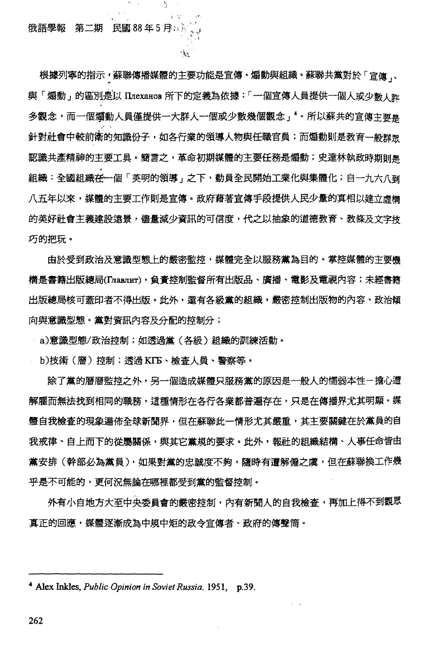俄語學報 第二期 民國88年5月%

根據列寧的指示,蘇聯傳播媒體的主要功能是宣傳、煽動與組織。蘇聯共黨對於「宣傳、 與「煽動」的區別是以 Плеханов 所下的定義為依據:「一個宣傳人員提供一個人或少數人許 多觀念,而一個煽動人員僅提供一大群人一個或少數幾個觀念」 '。所以蘇共的宣傳主要是 針對社會中較前衛的知識份子,如各行業的領導人物與任職官員;而煽動則是教育一般群眾 認識共產精神的主要工具。簡書之,革命初期媒體的主要任務是煽動;史達林執政時期訓鳥 組織:全國組織在一個「英明的領導」之下,動員全民開始工業化與集體化;自一九六八到 八五年以來,媒體的主要工作則是宣傳。政府藉著宣傳手段提供人民少量的真相以建立虚構 的美好社會主義建設遠景,儘量減少資訊的可信度,代之以抽象的道德教育、教條及文字技 巧的把玩。

ی≴י

由於受到政治及意識型態上的嚴密監控,媒體完全以服務黨為目的。掌控媒體的主要機 構是書籍出版總局(Главлит),負責控制監督所有出版品、廣播、電影及電視內容;未經書籍 出版總局核可蓋印者不得出版。此外,還有各級黨的組織,嚴密控制出版物的內容、政治傾 向與意識型態。黨對資訊內容及分配的控制分;

- a)意識型態/政治控制;如透過黨(各級)組織的訓練活動。

b)技術(層)控制;透過 KIT5、檢杳人員、警察等。

除了黨的層層監控之外,另一個造成媒體只服務黨的原因是一般人的懦弱本性-擔心遭 解雇而無法找到相同的職務,這種情形在各行各業都普遍存在,只是在傳播界尤其明顯。媒 體自我檢查的現象遍佈全球新聞界,但在蘇聯此一情形尤其嚴重,其主要關鍵在於黨員的自 我戒律、自上而下的從屬關係,與其它黨規的要求。此外,報社的組織結構、人事任命皆由 黨安排(幹部必為黨員),如果對黨的忠誠度不夠,隨時有遭解僱之虞,但在蘇聯換工作幾 乎是不可能的,更何況無論在哪裡都受到黨的監督控制。

外有小自地方大至中央委員會的嚴密控制,內有新聞人的自我檢查,再加上得不到觀眾 真正的回應,媒體逐漸成為中規中矩的政今官傳者、政府的傳聲筒。

<sup>&</sup>lt;sup>4</sup> Alex Inkles, *Public Opinion in Soviet Russia*, 1951, p.39,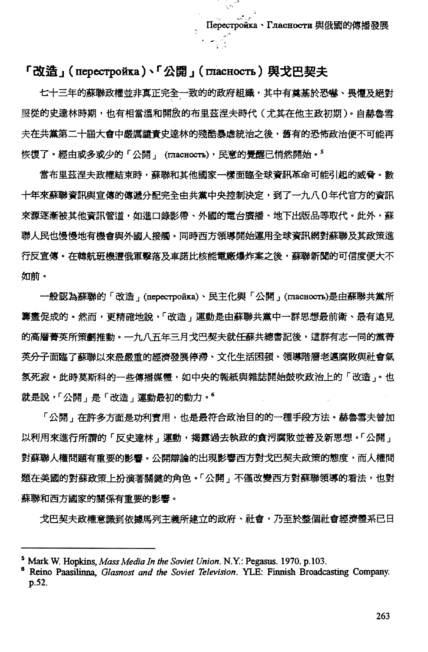## 「改造」( перестройка)、「公開」( гласность) 與戈巴契夫

七十三年的蘇聯政權並非真正完全一致的的政府組織,其中有奠基於恐嚇、畏懼及絕對 服從的史達林時期,也有相當溫和開放的布里茲涅夫時代(尤其在他主政初期)。自赫魯雪 夫在共黨第二十屆大會中嚴厲譴責史達林的殘酷暴虐統治之後,舊有的恐怖政治便不可能再 恢復了。經由或多或少的「公開」 (гласность),民意的覺醒已悄然開始。<sup>5</sup>

當布里茲涅夫政權結束時,蘇聯和其他國家一樣面臨全球資訊革命可能引起的威脅。數 十年來蘇聯資訊與宣傳的傳遞分配完全由共黨中央控制決定,到了一九八0年代官方的資訊 來源逐漸被其他資訊管道,如進口錄影帶、外國的電台廣播、地下出版品等取代。此外,蘇 聯人民也慢慢地有機會與外國人接觸。同時西方領導開始運用全球資訊網對蘇聯及其政策進 行反宣傳。在韓航班機遭俄軍鑿落及車諾比核能電廠爆炸案之後,蘇聯新聞的可信度便大不 如前。

一般認為蘇聯的「改造」(перестройка)、民主化與「公開」(пласность)是由蘇聯共黨所 籌畫促成的。然而,更精確地說,「改造」運動是由蘇聯共黨中一群思想最前衛、最有遠見 的高層菁英所策劃推動。一九八五年三月戈巴契夫就任蘇共總書記後,這群有志一同的黨菁 英分子面臨了蘇聯以來最嚴重的經濟發展停滯、文化生活困頓、領導階層老邁腐敗與社會氣 氛死寂。此時莫斯科的一些傳播媒體,如中央的報紙與雜誌開始鼓吹政治上的「改造 」。也 就是說,「公開」是「改造」運動最初的動力。6

「公開」在許多方面是功利實用,也是最符合政治目的的一種手段方法,赫魯雪夫曾加 以利用來進行所謂的「反史達林」運動,揭露過去執政的貪污腐敗並普及新思想。「公開」 對蘇聯人權問題有重要的影響。公開辯論的出現影響西方對戈巴契夫政策的態度,而人權問 題在美國的對蘇政策上扮演著關鍵的角色。「公開」不僅改變西方對蘇聯領導的看法,也對 蘇聯和西方國家的關係有重要的影響。

戈巴契夫政權意識到依據馬列主義所建立的政府、社會,乃至於整個社會經濟體系已日

263

Mark W. Hopkins, Mass Media In the Soviet Union. N.Y.: Pegasus. 1970. p.103.

Reino Paasilinna, Glasnost and the Soviet Television. YLE: Finnish Broadcasting Company. p.52.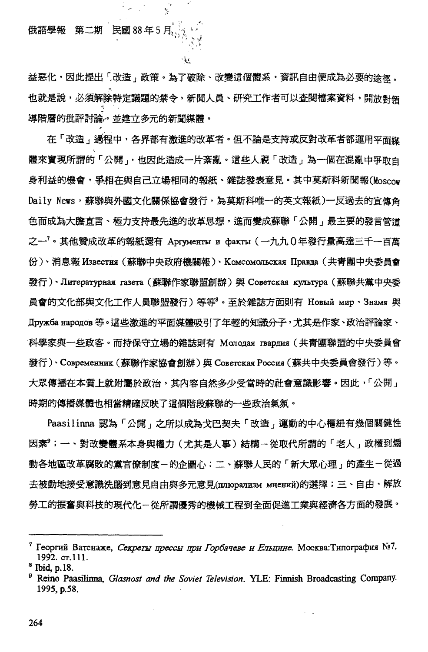第二期 民國 88年5月 俄語學報

k,

يمية

益惡化,因此提出「改造」政策。為了破除、改變這個體系,資訊自由便成為必要的涂忽。 也就是說,必須解除特定議題的禁令,新聞人員、研究工作者可以查閱檔案資料,開放對領 導階層的批評討論。並建立多元的新聞媒體。

在「改造,通程中,各界都有激進的改革者。但不論是支持或反對改革者都運用平面媒 體來實現所謂的「公開」,也因此造成一片紊亂。這些人視「改造」為一個在混亂中爭取自 身利益的機會,爭相在與自己立場相同的報紙、雜誌發表意見。其中莫斯科新聞報(Moscow Daily News, 蘇聯與外國文化關係協會發行,為莫斯科唯一的英文報紙)一反過去的宣傳角 色而成為大膽直言、極力支持最先進的改革思想,進而變成蘇聯「公開﹔最主要的發言管道 之一'。其他贊成改革的報紙還有 Аргументы и факты (一九九0年發行量高達三千一百萬 份)、消息報 Известия (蘇聯中央政府機關報)、Комсомольская Правда (共青團中央委員會 發行)、Литературная газета (蘇聯作家聯盟創辦)與 Советская культура (蘇聯共黨中央委 員會的文化部與文化工作人員聯盟發行)等等。至於雜誌方面則有 Новый мир、Знамя 與 Дружба народов 等。這些激進的平面媒體吸引了年輕的知識分子,尤其是作家、政治評論家、 科學家與一些政客。而持保守立場的雜誌則有 Молодая гвардия(共青團聯盟的中央委員會 發行)、Cospemenunk (蘇聯作家協會創辦)與 Coserckas Poccus (蘇共中央委員會發行)等。 大眾傳播在本質上就附屬於政治,其內容自然多少受當時的社會意識影響。因此,「公開」 時期的傳播媒體也相當精確反映了這個階段蘇聯的一些政治氣氛。

Paasilinna 認為「公開」之所以成為戈巴契夫「改造」運動的中心樞紐有幾個關鍵性 因素。; 一、對改變體系本身與權力(尤其是人事)結構-從取代所謂的「老人」政權到煽 動各地區改革腐敗的黨官僚制度-的企圖心;二、蘇聯人民的「新大眾心理」的產生-從過 去被動地接受意識洗腦到意見自由與多元意見(плюрализм мнений)的選擇;三、自由、解放 勞工的振奮與科技的現代化-從所謂優秀的機械工程到全面促進工業與經濟各方面的發展。

<sup>&</sup>lt;sup>7</sup> Георгий Ватснаже, *Секреты прессы при Горбачеве и Ельцине*. Москва:Типография №7, 1992. ст.111.

<sup>&</sup>lt;sup>8</sup> Ibid, p.18.

Reino Paasilinna, Glasnost and the Soviet Television. YLE: Finnish Broadcasting Company. 1995, p.58.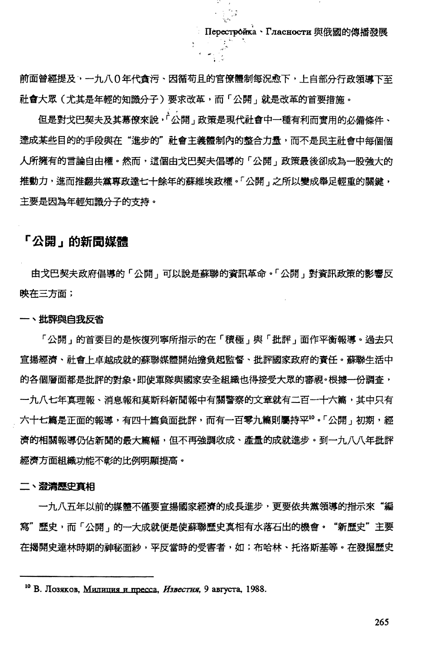Перестройка · Гласности 與俄國的傳播發展

前面曾經提及,一九八0年代貪污、因循苟且的官僚體制每況愈下,上自部分行政領導下至 社會大眾(尤其是年輕的知識分子)要求改革,而「公開」就是改革的首要措施。

.,'"

但是對戈巴契夫及其幕僚來說,「公開」政策是現代社會中一種有利而實用的必備條件、 達成某些目的的手段與在"進步的"社會主義體制內的整合力量,而不是民主社會中每個個 人所擁有的言論自由權。然而,這個由戈巴契夫倡導的「公開」政策最後卻成為一股強大的 推動力,進而推翻共黨專政達七十餘年的蘇維埃政權。「公開」之所以變成舉足輕重的關鍵, 主要是因為年輕知識分子的支持。

## 「公開」的新聞媒體

由戈巴契夫政府倡導的「公開」可以說是蘇聯的資訊革命。「公開」對資訊政策的影響反 映在三方面;

#### 一、批評與白我反省

「公開」的首要目的是恢復列寧所指示的在「積極」與「批評」面作平衡報導。過去只 宣揚經濟、社會上卓越成就的蘇聯媒體開始擔負起監督、批評國家政府的責任。蘇聯生活中 的各個層面都是批評的對象。即使軍隊與國家安全組織也得接受大眾的審視。根據一份調査, 一九八七年真理報、消息報和莫斯科新聞報中有關警察的文章就有二百一十六篇,其中只有 六十七篇是正面的報導,有四十篇負面批評,而有一百零九篇則屬持平10。「公開」初期,經 濟的相關報導仍佔新聞的最大篇幅,但不再強調收成、產量的成就進步。到一九八八年批評 經濟方面組織功能不彰的比例明顯提高。

二、澄満歴史真相

一九八五年以前的媒體不僅要宣揚國家經濟的成長進步,更要依共黨領導的指示來"編 寫"歷史,而「公開,的一大成就便是使蘇聯歷史真相有水落石出的機會。"新歷史"主要 在揭開史達林時期的神秘面紗,平反當時的受害者,如;布哈林、托洛斯基等。在發掘歷史

<sup>&</sup>lt;sup>10</sup> В. Лозяков, Милиция и пресса, *Известия*, 9 августа, 1988.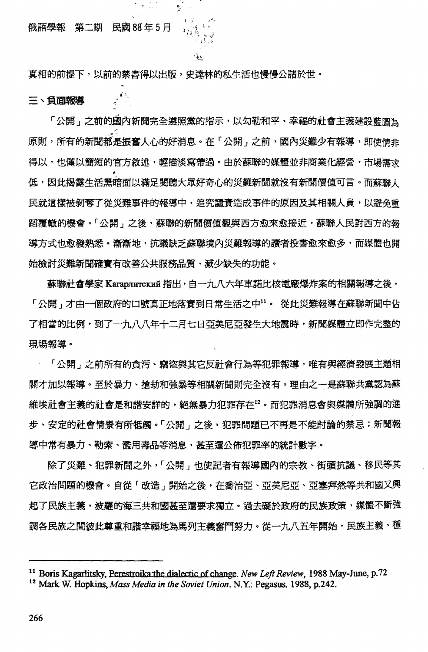#### 俄語學報 第二期 民國 88年5月

 $\bullet$   $\sim$ 

真相的前提下,以前的禁書得以出版,史達林的私生活也慢慢公諸於世。

¢,

 $\sigma_{\rm{max}}^{0.002}$ 

#### 三、自面報導

「公開」之前的國內新聞完全遵照黨的指示,以勾勒和平、幸福的社會主義建設藍圖為 原則,所有的新聞都是振奮人心的好消息。在「公開」之前,國內災難少有報導,即使情非 得以,也僅以簡短的官方敘述,輕描淡寫帶過。由於蘇聯的媒體並非商業化經營,市場需求 低,因此揭露生活黑暗面以滿足閱聽大眾好奇心的災難新聞就沒有新聞價值可言。而蘇聯人 民就這樣被剝奪了從災難事件的報導中,追究譴責造成事件的原因及其相關人員,以避免重 蹈覆轍的機會。「公開﹐之後,蘇聯的新聞價值觀與西方愈來愈接近,蘇聯人民對西方的報 導方式也愈發熟悉。漸漸地,抗議缺乏蘇聯境內災難報導的讀者投書愈來愈多,而媒體也開 始檢討災難新聞確實有改善公共服務品質、減少缺失的功能。

~!

蘇聯社會學家 Karapnarckuй 指出,自一九八六年車諾比核電廠爆炸案的相關報導之後, 「公開」才由一個政府的口號真正地落實到日常生活之中"。 從此災難報導在蘇聯新聞中佔 了相當的比例,到了一九八八年十二月七日亞美尼亞發生大地震時,新聞媒體立即作完整的 現場報導。

「公開」之前所有的貪污、竊盜與其它反社會行為等犯罪報導,唯有與經濟發展主題相 關才加以報導。至於暴力、搶劫和強暴等相關新聞則完全沒有。理由之一是蘇聯共黨認為蘇 維埃社會主義的社會是和諧安詳的,絕無暴力犯罪存在<sup>12</sup>。而犯罪消息會與媒體所強調的進 步、安定的社會情景有所牴觸。「公開」之後,犯罪問題已不再是不能討論的禁忌;新聞報 導中常有暴力、勒索、濫用毒品等消息,甚至還公佈犯罪率的統計數字。

除了災難、犯罪新聞之外,「公開」也使記者有報導國內的宗教、街頭抗議、移民等其 它政治問題的機會。自從「改造」開始之後,在喬治亞、亞美尼亞、亞塞拜然等共和國又興 起了民族主義,波羅的海三共和國甚至還要求獨立。過去礙於政府的民族政策,媒體不斷強 調各民族之間彼此尊重和諧幸福地為馬列主義奮鬥努力。從一九八五年開始,民族主義、種

<sup>&</sup>lt;sup>11</sup> Boris Kagarlitsky, Perestroika: the dialectic of change. *New Left Review*, 1988 May-June, p.72 <sup>12</sup> Mark W. Hopkins, *Mass Media in the Soviet Union*. N.Y.: Pegasus. 1988, p.242.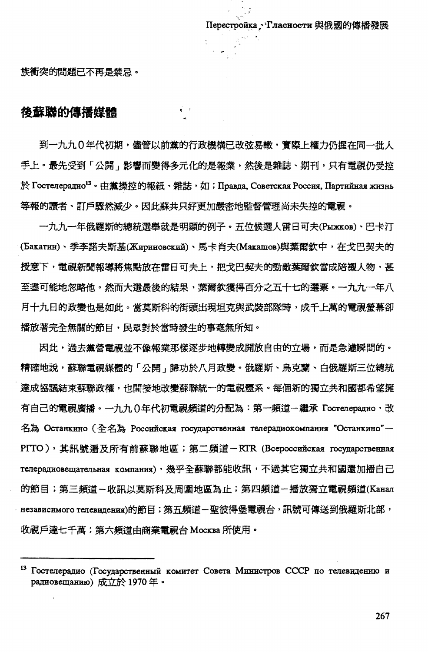族衝突的問題已不再是禁忌。

# 後蘇聯的傳播媒體

到一九九0年代初期,儘管以前黨的行政機構已改弦易轍,竇際上權力仍握在同一批人 手上。最先受到「公開」影響而變得多元化的是報業,然後是雜誌、期刊,只有電視仍受控 於 Гостелерадио<sup>13</sup>。由黨操控的報紙、雜誌,如; Правда, Советская Россия, Партийная жизнь 等報的讀者、訂戶驟然減少。因此蘇共只好更加嚴密地監督管理尚未失控的電視。

 $\mathbf{r} \rightarrow$ 

一九九一年俄羅斯的總統選舉就是明顯的例子。五位候選人雷日可夫(Pыжков)、巴卡汀 (Бакатин)、季李諾夫斯基(Жириновский)、馬卡肖夫(Макашов)與葉爾欽中,在戈巴契夫的 授意下,電視新聞報導將焦點放在雷日可夫上,把戈巴契夫的勁敵葉爾欽當成陪襯人物,甚 至盡可能地忽略他。然而大選最後的結果,葉爾欽獲得百分之五十七的選票。一九九一年八 月十九日的政變也是如此。當莫斯科的街頭出現坦克與武裝部隊時,成千上萬的電視螢幕卻 播放著完全無關的節目,民眾對於當時發生的事毫無所知。

因此,過去黨營電視並不像報業那樣逐步地轉變成開放自由的立場,而是急遽瞬間的。 精確地說,蘇聯電視媒體的「公開」歸功於八月政變。俄羅斯、鳥克蘭、白俄羅斯三位總統 達成協議結束蘇聯政權,也間接地改變蘇聯統一的電視體系。每個新的獨立共和國都希望擁 有自己的電視廣播。一九九0年代初電視頻道的分配為:第一頻道一繼承 Гостелерадио,改 名為 Останкино (全名為 Российская государственная телерадиокомпания "Останкино"-PITO), 其訊號遍及所有前蘇聯地區; 第二頻道-RIR (Bcepoccunckas rocynapcreennas телерадиовещательная компания),幾乎全蘇聯都能收訊,不過其它獨立共和國還加播自己 的節目;第三賴道-收訊以莫斯科及周圍地區為止;第四頻道-播放獨立電視頻道(Kanan · независимого телевидения)的節目;第五頻道-聖彼得堡電視台,訊號可傳送到俄羅斯北部, 收視戶達七千萬;第六頻道由商業電視台 MockBa 所使用。

 $13$ Гостелерадио (Государственный комитет Совета Министров СССР по телевидению и радиовещанию)成立於1970年。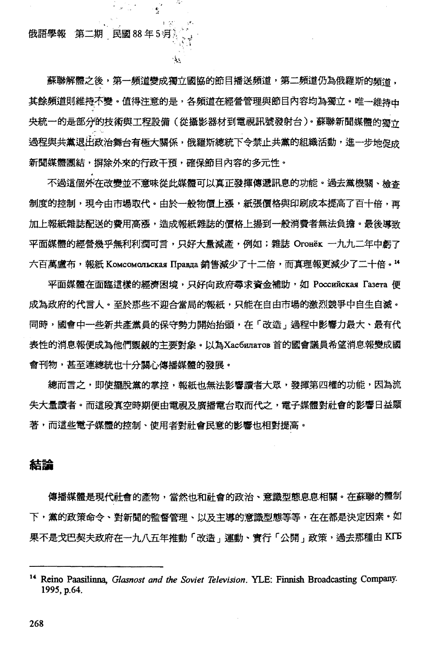#### 俄語學報 第二期 民國88年5月

्रं

يدفى

蘇聯解體之後,第一頻道變成獨立國協的節目播送頻道,第二頻道仍為俄羅斯的頻道, 其餘頻道則維持不變。值得注意的是,各頻道在經營管理與節目內容均為獨立。唯一維持中 央統一的是部分的技術與工程設備(從攝影器材到電視訊號發射台)。蘇聯新聞媒體的獨立 過程與共黨退出政治舞台有極大關係,俄羅斯總統下令禁止共黨的組織活動,進一步地促成 新聞媒體團結,摒除外來的行政干預,確保節目內容的多元性。

不過這個外在改變並不意味從此媒體可以真正發揮傳遞訊息的功能。過去黨機關、檢杳 制度的控制,現今由市場取代。由於一般物價上漲,紙張價格與印刷成本提高了百十倍,再 加上報紙雜誌配送的費用高漲,造成報紙雜誌的價格上揚到一般消費者無法負擔。最後導致 平面媒體的經營幾乎無利利潤可言,只好大量減產,例如;雜誌 Oroнёк 一九九二年中虧了 六百萬盧布,報紙 Комсомольская Правда 銷售減少了十二倍,而真理報更減少了二十倍。"

平面媒體在面臨這樣的經濟困境,只好向政府尋求資金補助,如 Poccuйckas Fasera 便 成為政府的代言人。至於那些不迎合當局的報紙,只能在自由市場的激烈競爭中自生自滅。 同時,國會中一些新共產黨員的保守勢力開始抬頭,在「改造」過程中影響力最大、最有代 表性的消息報便成為他們覬覦的主要對象。以為Xac6илaroв首的國會議員希望消息報變成國 會刊物,甚至連總統也十分關心傳播媒體的發展。

總而言之,即使擺脫黨的掌控,報紙也無法影響讀者大眾,發揮第四權的功能,因為流 失大量讀者。而這段真空時期便由電視及廣播電台取而代之,電子媒體對社會的影響日益顯 著,而這些電子媒體的控制、使用者對社會民意的影響也相對提高。

## 結論

傳播媒體是現代社會的產物,當然也和社會的政治、意識型態息息相關。在蘇聯的體制 下,黨的政策命令、對新聞的監督管理、以及主導的意識型態等等,在在都是決定因素。如 果不是戈巴契夫政府在一九八五年推動「改造」運動、實行「公開」政策,過去那種由 KFB

<sup>&</sup>lt;sup>14</sup> Reino Paasilinna, Glasnost and the Soviet Television. YLE: Finnish Broadcasting Company. 1995, p.64.